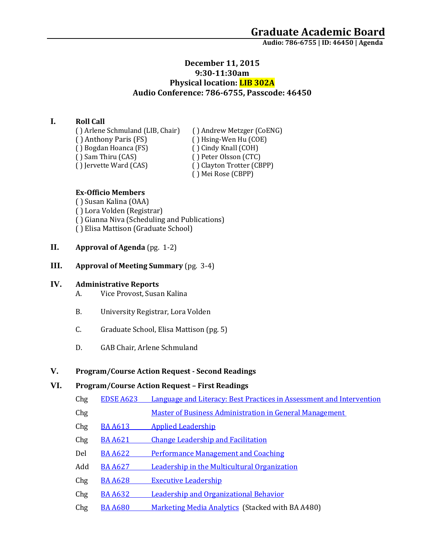### **December 11, 2015 9:30-11:30am Physical location: LIB 302A Audio Conference: 786-6755, Passcode: 46450**

### **I. Roll Call**

( ) Arlene Schmuland (LIB, Chair) ( ) Andrew Metzger (CoENG)<br>( ) Anthony Paris (FS) ( ) Hsing-Wen Hu (COE) ( ) Bogdan Hoanca (FS)<br>( ) Sam Thiru (CAS) ( ) Sam Thiru (CAS) ( ) Peter Olsson (CTC)<br>( ) Jervette Ward (CAS) ( ) Clayton Trotter (CB

( ) Hsing-Wen Hu (COE)<br>( ) Cindy Knall (COH) ( ) Clayton Trotter (CBPP) ( ) Mei Rose (CBPP)

#### **Ex-Officio Members**

( ) Susan Kalina (OAA) ( ) Lora Volden (Registrar) ( ) Gianna Niva (Scheduling and Publications) ( ) Elisa Mattison (Graduate School)

- **II. Approval of Agenda** (pg. 1-2)
- **III. Approval of Meeting Summary** (pg. 3-4)

#### **IV. Administrative Reports**

- A. Vice Provost, Susan Kalina
- B. University Registrar, Lora Volden
- C. Graduate School, Elisa Mattison (pg. 5)
- D. GAB Chair, Arlene Schmuland

#### **V. Program/Course Action Request - Second Readings**

### **VI. Program/Course Action Request – First Readings**

- Chg EDSE A623 [Language and Literacy: Best Practices in Assessment and Intervention](https://nextcatalog.uaa.alaska.edu/courseleaf/courseleaf.cgi?page=/courseadmin/2853/index.html&step=tcadiff)
- Chg Master of Business Administration in General Management
- Chg BA A613 [Applied Leadership](https://nextcatalog.uaa.alaska.edu/courseleaf/courseleaf.cgi?page=/courseadmin/928/index.html&step=tcadiff)
- Chg BA A621 [Change Leadership and Facilitation](https://nextcatalog.uaa.alaska.edu/courseleaf/courseleaf.cgi?page=/courseadmin/934/index.html&step=tcadiff)
- Del BA A622 [Performance Management and Coaching](https://nextcatalog.uaa.alaska.edu/courseleaf/courseleaf.cgi?page=/courseadmin/935/index.html&step=tcadiff)
- Add BA A627 [Leadership in the Multicultural Organization](https://nextcatalog.uaa.alaska.edu/courseleaf/courseleaf.cgi?page=/courseadmin/6426/index.html&step=tcadiff)
- Chg BA A628 [Executive Leadership](https://nextcatalog.uaa.alaska.edu/courseleaf/courseleaf.cgi?page=/courseadmin/940/index.html&step=tcadiff)
- Chg BA A632 Leadership [and Organizational Behavior](https://nextcatalog.uaa.alaska.edu/courseleaf/courseleaf.cgi?page=/courseadmin/943/index.html&step=tcadiff)
- Chg BA A680 [Marketing Media Analytics](https://nextcatalog.uaa.alaska.edu/courseleaf/courseleaf.cgi?page=/courseadmin/970/index.html&step=tcadiff) (Stacked with BA A480)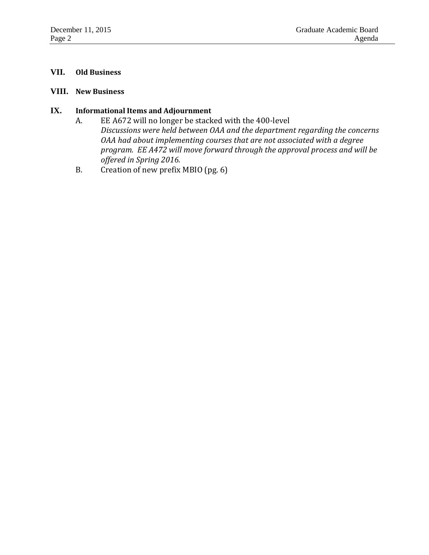#### **VII. Old Business**

#### **VIII. New Business**

### **IX. Informational Items and Adjournment**

- A. EE A672 will no longer be stacked with the 400-level *Discussions were held between OAA and the department regarding the concerns OAA had about implementing courses that are not associated with a degree program. EE A472 will move forward through the approval process and will be offered in Spring 2016.*
- B. Creation of new prefix MBIO (pg. 6)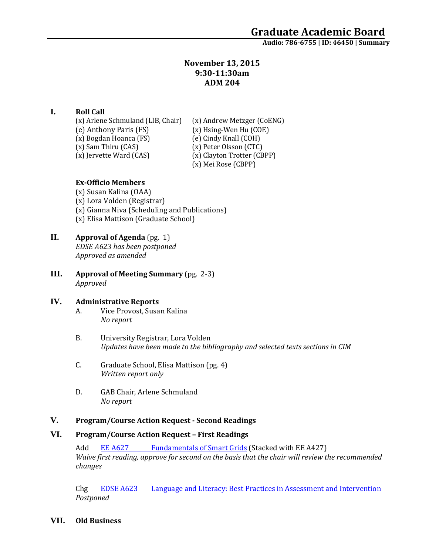### **November 13, 2015 9:30-11:30am ADM 204**

### **I. Roll Call**

(x) Arlene Schmuland (LIB, Chair) (x) Andrew Metzger (CoENG)<br>(e) Anthony Paris (FS) (x) Hsing-Wen Hu (COE) (x) Bogdan Hoanca (FS)<br>(x) Sam Thiru (CAS) (x) Sam Thiru (CAS) (x) Peter Olsson (CTC)<br>(x) Iervette Ward (CAS) (x) Clayton Trotter (CB

(x) Hsing-Wen Hu (COE)<br>(e) Cindy Knall (COH)

- 
- (x) Clayton Trotter (CBPP)
- (x) Mei Rose (CBPP)

### **Ex-Officio Members**

(x) Susan Kalina (OAA) (x) Lora Volden (Registrar) (x) Gianna Niva (Scheduling and Publications) (x) Elisa Mattison (Graduate School)

## **II. Approval of Agenda** (pg. 1) *EDSE A623 has been postponed*

*Approved as amended*

**III. Approval of Meeting Summary** (pg. 2-3) *Approved*

#### **IV. Administrative Reports**

- A. Vice Provost, Susan Kalina *No report*
- B. University Registrar, Lora Volden *Updates have been made to the bibliography and selected texts sections in CIM*
- C. Graduate School, Elisa Mattison (pg. 4) *Written report only*
- D. GAB Chair, Arlene Schmuland *No report*

#### **V. Program/Course Action Request - Second Readings**

#### **VI. Program/Course Action Request – First Readings**

Add EE A627 [Fundamentals of Smart Grids](https://nextcatalog.uaa.alaska.edu/courseleaf/courseleaf.cgi?page=/courseadmin/6325/index.html&step=tcadiff) (Stacked with EE A427) *Waive first reading, approve for second on the basis that the chair will review the recommended changes*

Chg EDSE A623 [Language and Literacy: Best Practices in Assessment and Intervention](https://nextcatalog.uaa.alaska.edu/courseleaf/courseleaf.cgi?page=/courseadmin/2853/index.html&step=tcadiff) *Postponed*

**VII. Old Business**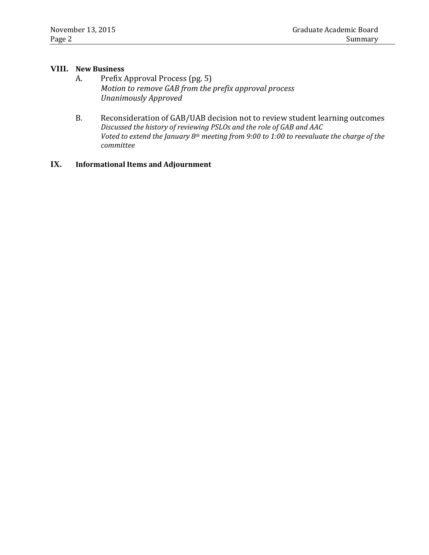#### **VIII. New Business**

- A. Prefix Approval Process (pg. 5) *Motion to remove GAB from the prefix approval process Unanimously Approved*
- B. Reconsideration of GAB/UAB decision not to review student learning outcomes *Discussed the history of reviewing PSLOs and the role of GAB and AAC Voted to extend the January 8th meeting from 9:00 to 1:00 to reevaluate the charge of the committee*

### **IX. Informational Items and Adjournment**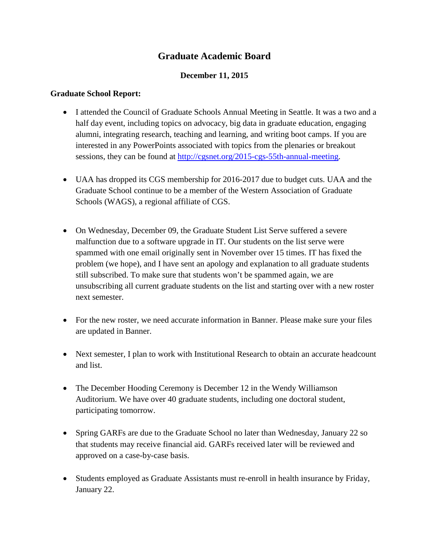# **Graduate Academic Board**

### **December 11, 2015**

### **Graduate School Report:**

- I attended the Council of Graduate Schools Annual Meeting in Seattle. It was a two and a half day event, including topics on advocacy, big data in graduate education, engaging alumni, integrating research, teaching and learning, and writing boot camps. If you are interested in any PowerPoints associated with topics from the plenaries or breakout sessions, they can be found at [http://cgsnet.org/2015-cgs-55th-annual-meeting.](http://cgsnet.org/2015-cgs-55th-annual-meeting)
- UAA has dropped its CGS membership for 2016-2017 due to budget cuts. UAA and the Graduate School continue to be a member of the Western Association of Graduate Schools (WAGS), a regional affiliate of CGS.
- On Wednesday, December 09, the Graduate Student List Serve suffered a severe malfunction due to a software upgrade in IT. Our students on the list serve were spammed with one email originally sent in November over 15 times. IT has fixed the problem (we hope), and I have sent an apology and explanation to all graduate students still subscribed. To make sure that students won't be spammed again, we are unsubscribing all current graduate students on the list and starting over with a new roster next semester.
- For the new roster, we need accurate information in Banner. Please make sure your files are updated in Banner.
- Next semester, I plan to work with Institutional Research to obtain an accurate headcount and list.
- The December Hooding Ceremony is December 12 in the Wendy Williamson Auditorium. We have over 40 graduate students, including one doctoral student, participating tomorrow.
- Spring GARFs are due to the Graduate School no later than Wednesday, January 22 so that students may receive financial aid. GARFs received later will be reviewed and approved on a case-by-case basis.
- Students employed as Graduate Assistants must re-enroll in health insurance by Friday, January 22.